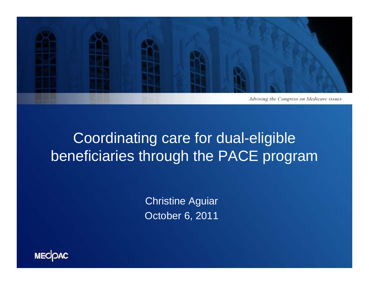

# Coordinating care for dual-eligible beneficiaries through the PACE program

Christine Aguiar October 6, 2011

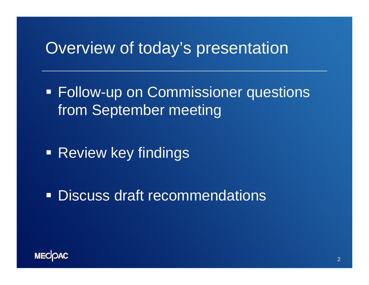## Overview of today's presentation

**Follow-up on Commissioner questions** from September meeting

**- Review key findings** 

Discuss draft recommendations

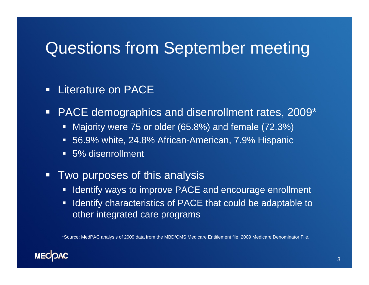# Questions from September meeting

#### $\Box$ Literature on PACE

- $\Box$  PACE demographics and disenrollment rates, 2009\*
	- Majority were 75 or older (65.8%) and female (72.3%)
	- 56.9% white, 24.8% African-American, 7.9% Hispanic
	- 5% disenrollment
- $\Box$  Two purposes of this analysis
	- **If Identify ways to improve PACE and encourage enrollment**
	- **If Identify characteristics of PACE that could be adaptable to** other integrated care programs

\*Source: MedPAC analysis of 2009 data from the MBD/CMS Medicare Entitlement file, 2009 Medicare Denominator File.

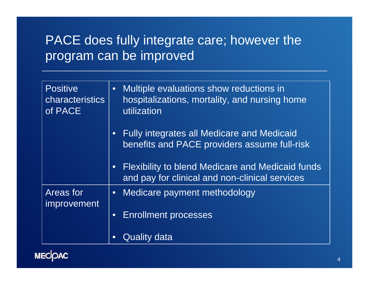#### PACE does fully integrate care; however the program can be improved

| <b>Positive</b><br><b>characteristics</b><br>of PACE | Multiple evaluations show reductions in<br>hospitalizations, mortality, and nursing home<br>utilization        |
|------------------------------------------------------|----------------------------------------------------------------------------------------------------------------|
|                                                      | <b>Fully integrates all Medicare and Medicaid</b><br>$\bullet$<br>benefits and PACE providers assume full-risk |
|                                                      | <b>Flexibility to blend Medicare and Medicaid funds</b><br>and pay for clinical and non-clinical services      |
| <b>Areas for</b><br><i>improvement</i>               | Medicare payment methodology<br>$\bullet$                                                                      |
|                                                      | <b>Enrollment processes</b><br>$\bullet$                                                                       |
|                                                      | Quality data<br>$\bullet$                                                                                      |

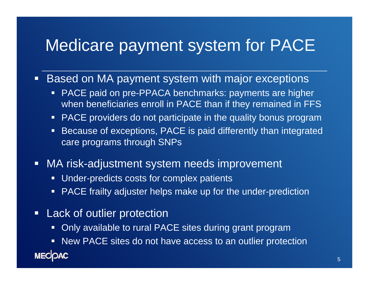## Medicare payment system for PACE

- Based on MA payment system with major exceptions
	- PACE paid on pre-PPACA benchmarks: payments are higher when beneficiaries enroll in PACE than if they remained in FFS
	- $\Box$ PACE providers do not participate in the quality bonus program
	- $\Box$  Because of exceptions, PACE is paid differently than integrated care programs through SNPs
- $\Box$  MA risk-adjustment system needs improvement
	- $\Box$ Under-predicts costs for complex patients
	- $\Box$ PACE frailty adjuster helps make up for the under-prediction
- $\blacksquare$ **Lack of outlier protection** 
	- Г Only available to rural PACE sites during grant program
- New PACE sites do not have access to an outlier protection **MECOAC**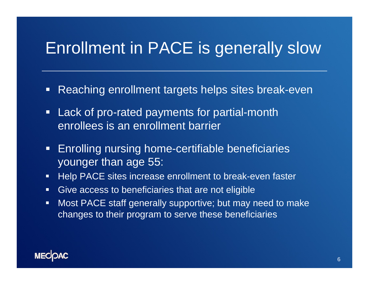## Enrollment in PACE is generally slow

- $\Box$ Reaching enrollment targets helps sites break-even
- $\blacksquare$  Lack of pro-rated payments for partial-month enrollees is an enrollment barrier
- $\Box$  Enrolling nursing home-certifiable beneficiaries younger than age 55:
- $\Box$ Help PACE sites increase enrollment to break-even faster
- $\blacksquare$ Give access to beneficiaries that are not eligible
- $\Box$  Most PACE staff generally supportive; but may need to make changes to their program to serve these beneficiaries

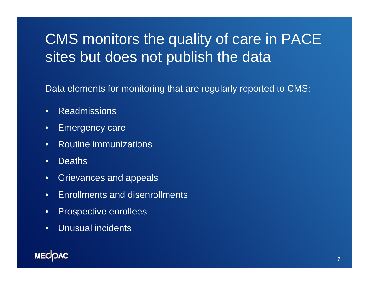# CMS monitors the quality of care in PACE sites but does not publish the data

Data elements for monitoring that are regularly reported to CMS:

- $\bullet$ Readmissions
- $\bullet$ Emergency care
- •Routine immunizations
- •**Deaths**
- •Grievances and appeals
- •Enrollments and disenrollments
- $\bullet$ Prospective enrollees
- $\bullet$ Unusual incidents